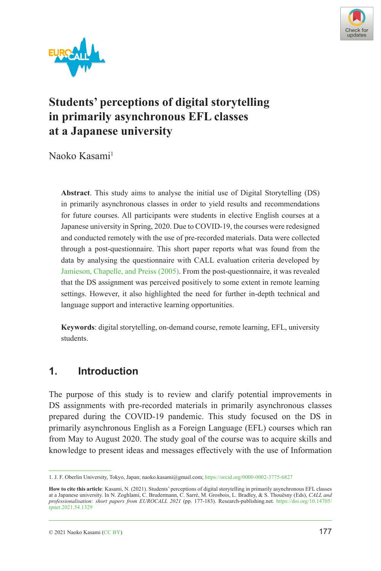



# **Students' perceptions of digital storytelling in primarily asynchronous EFL classes at a Japanese university**

Naoko Kasami<sup>1</sup>

**Abstract**. This study aims to analyse the initial use of Digital Storytelling (DS) in primarily asynchronous classes in order to yield results and recommendations for future courses. All participants were students in elective English courses at a Japanese university in Spring, 2020. Due to COVID-19, the courses were redesigned and conducted remotely with the use of pre-recorded materials. Data were collected through a post-questionnaire. This short paper reports what was found from the data by analysing the questionnaire with CALL evaluation criteria developed by [Jamieson, Chapelle, and Preiss \(2005\).](#page-6-0) From the post-questionnaire, it was revealed that the DS assignment was perceived positively to some extent in remote learning settings. However, it also highlighted the need for further in-depth technical and language support and interactive learning opportunities.

**Keywords**: digital storytelling, on-demand course, remote learning, EFL, university students.

# **1. Introduction**

The purpose of this study is to review and clarify potential improvements in DS assignments with pre-recorded materials in primarily asynchronous classes prepared during the COVID-19 pandemic. This study focused on the DS in primarily asynchronous English as a Foreign Language (EFL) courses which ran from May to August 2020. The study goal of the course was to acquire skills and knowledge to present ideas and messages effectively with the use of Information

<sup>1.</sup> J. F. Oberlin University, Tokyo, Japan; naoko.kasami@gmail.com; <https://orcid.org/0000-0002-3775-6827>

**How to cite this article**: Kasami, N. (2021). Students' perceptions of digital storytelling in primarily asynchronous EFL classes at a Japanese university. In N. Zoghlami, C. Brudermann, C. Sarré, M. Grosbois, L. Bradley, & S. Thouësny (Eds), CALL and<br>professionalisation: short papers from EUROCALL 2021 (pp. 177-183). Research-publishing.net. https:/ [rpnet.2021.54.1329](https://doi.org/10.14705/rpnet.2021.54.1329)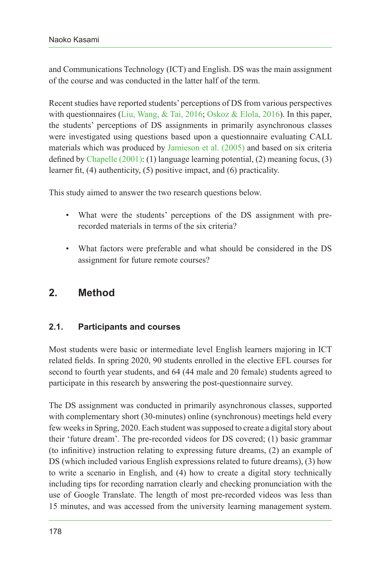and Communications Technology (ICT) and English. DS was the main assignment of the course and was conducted in the latter half of the term.

Recent studies have reported students' perceptions of DS from various perspectives with questionnaires ([Liu, Wang, & Tai, 2016](#page-6-1); [Oskoz & Elola, 2016\)](#page-6-2). In this paper, the students' perceptions of DS assignments in primarily asynchronous classes were investigated using questions based upon a questionnaire evaluating CALL materials which was produced by [Jamieson et al. \(2005\)](#page-6-0) and based on six criteria defined by [Chapelle \(2001\):](#page-6-3) (1) language learning potential, (2) meaning focus, (3) learner fit, (4) authenticity, (5) positive impact, and (6) practicality.

This study aimed to answer the two research questions below.

- What were the students' perceptions of the DS assignment with prerecorded materials in terms of the six criteria?
- What factors were preferable and what should be considered in the DS assignment for future remote courses?

## **2. Method**

#### **2.1. Participants and courses**

Most students were basic or intermediate level English learners majoring in ICT related fields. In spring 2020, 90 students enrolled in the elective EFL courses for second to fourth year students, and 64 (44 male and 20 female) students agreed to participate in this research by answering the post-questionnaire survey.

The DS assignment was conducted in primarily asynchronous classes, supported with complementary short (30-minutes) online (synchronous) meetings held every few weeks in Spring, 2020. Each student was supposed to create a digital story about their 'future dream'. The pre-recorded videos for DS covered; (1) basic grammar (to infinitive) instruction relating to expressing future dreams, (2) an example of DS (which included various English expressions related to future dreams), (3) how to write a scenario in English, and (4) how to create a digital story technically including tips for recording narration clearly and checking pronunciation with the use of Google Translate. The length of most pre-recorded videos was less than 15 minutes, and was accessed from the university learning management system.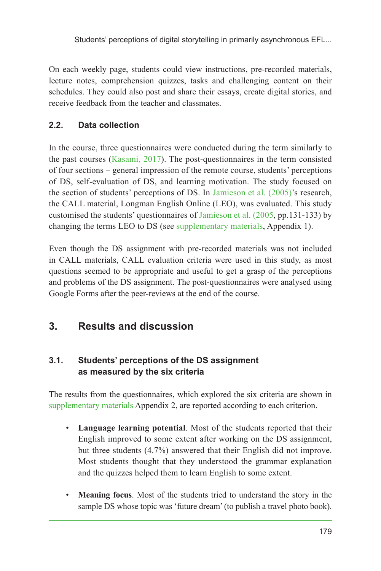On each weekly page, students could view instructions, pre-recorded materials, lecture notes, comprehension quizzes, tasks and challenging content on their schedules. They could also post and share their essays, create digital stories, and receive feedback from the teacher and classmates.

## **2.2. Data collection**

In the course, three questionnaires were conducted during the term similarly to the past courses ([Kasami, 2017](#page-6-4)). The post-questionnaires in the term consisted of four sections – general impression of the remote course, students' perceptions of DS, self-evaluation of DS, and learning motivation. The study focused on the section of students' perceptions of DS. In [Jamieson et al. \(2005\)'](#page-6-0)s research, the CALL material, Longman English Online (LEO), was evaluated. This study customised the students' questionnaires of [Jamieson et al. \(2005,](#page-6-0) pp.131-133) by changing the terms LEO to DS (see [supplementary materials](#page-5-0), Appendix 1).

Even though the DS assignment with pre-recorded materials was not included in CALL materials, CALL evaluation criteria were used in this study, as most questions seemed to be appropriate and useful to get a grasp of the perceptions and problems of the DS assignment. The post-questionnaires were analysed using Google Forms after the peer-reviews at the end of the course.

# **3. Results and discussion**

### **3.1. Students' perceptions of the DS assignment as measured by the six criteria**

The results from the questionnaires, which explored the six criteria are shown in [supplementary materials](#page-5-0) Appendix 2, are reported according to each criterion.

- **Language learning potential**. Most of the students reported that their English improved to some extent after working on the DS assignment, but three students (4.7%) answered that their English did not improve. Most students thought that they understood the grammar explanation and the quizzes helped them to learn English to some extent.
- **Meaning focus**. Most of the students tried to understand the story in the sample DS whose topic was 'future dream' (to publish a travel photo book).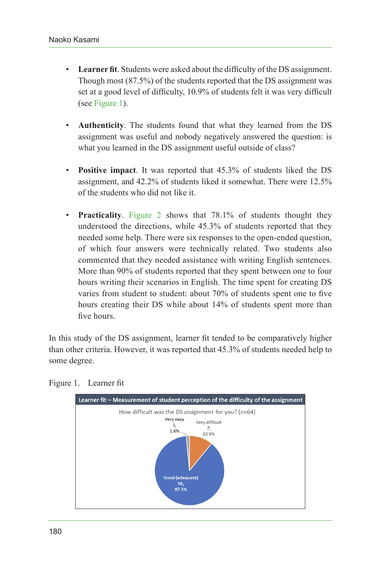- **Learner fit**. Students were asked about the difficulty of the DS assignment. Though most (87.5%) of the students reported that the DS assignment was set at a good level of difficulty, 10.9% of students felt it was very difficult (see [Figure 1\)](#page-3-0).
- **Authenticity**. The students found that what they learned from the DS assignment was useful and nobody negatively answered the question: is what you learned in the DS assignment useful outside of class?
- **Positive impact**. It was reported that 45.3% of students liked the DS assignment, and 42.2% of students liked it somewhat. There were 12.5% of the students who did not like it.
- **Practicality**. [Figure 2](#page-4-0) shows that 78.1% of students thought they understood the directions, while 45.3% of students reported that they needed some help. There were six responses to the open-ended question, of which four answers were technically related. Two students also commented that they needed assistance with writing English sentences. More than 90% of students reported that they spent between one to four hours writing their scenarios in English. The time spent for creating DS varies from student to student: about 70% of students spent one to five hours creating their DS while about 14% of students spent more than five hours.

In this study of the DS assignment, learner fit tended to be comparatively higher than other criteria. However, it was reported that 45.3% of students needed help to some degree.

<span id="page-3-0"></span>

Figure 1. Learner fit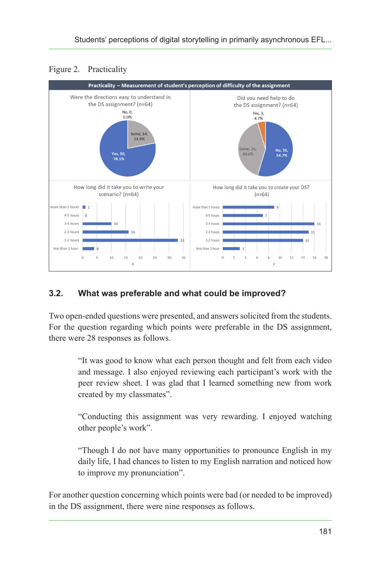<span id="page-4-0"></span>



### **3.2. What was preferable and what could be improved?**

Two open-ended questions were presented, and answers solicited from the students. For the question regarding which points were preferable in the DS assignment, there were 28 responses as follows.

> "It was good to know what each person thought and felt from each video and message. I also enjoyed reviewing each participant's work with the peer review sheet. I was glad that I learned something new from work created by my classmates".

> "Conducting this assignment was very rewarding. I enjoyed watching other people's work".

> "Though I do not have many opportunities to pronounce English in my daily life, I had chances to listen to my English narration and noticed how to improve my pronunciation".

For another question concerning which points were bad (or needed to be improved) in the DS assignment, there were nine responses as follows.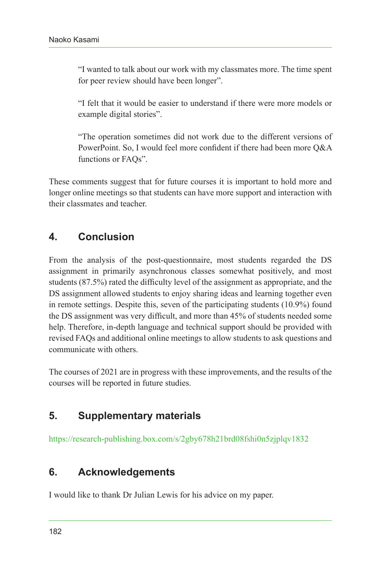"I wanted to talk about our work with my classmates more. The time spent for peer review should have been longer".

"I felt that it would be easier to understand if there were more models or example digital stories".

"The operation sometimes did not work due to the different versions of PowerPoint. So, I would feel more confident if there had been more Q&A functions or FAQs".

These comments suggest that for future courses it is important to hold more and longer online meetings so that students can have more support and interaction with their classmates and teacher.

# **4. Conclusion**

From the analysis of the post-questionnaire, most students regarded the DS assignment in primarily asynchronous classes somewhat positively, and most students (87.5%) rated the difficulty level of the assignment as appropriate, and the DS assignment allowed students to enjoy sharing ideas and learning together even in remote settings. Despite this, seven of the participating students (10.9%) found the DS assignment was very difficult, and more than 45% of students needed some help. Therefore, in-depth language and technical support should be provided with revised FAQs and additional online meetings to allow students to ask questions and communicate with others.

The courses of 2021 are in progress with these improvements, and the results of the courses will be reported in future studies.

# <span id="page-5-0"></span>**5. Supplementary materials**

<https://research-publishing.box.com/s/2gby678h21brd08fshi0n5zjplqv1832>

# **6. Acknowledgements**

I would like to thank Dr Julian Lewis for his advice on my paper.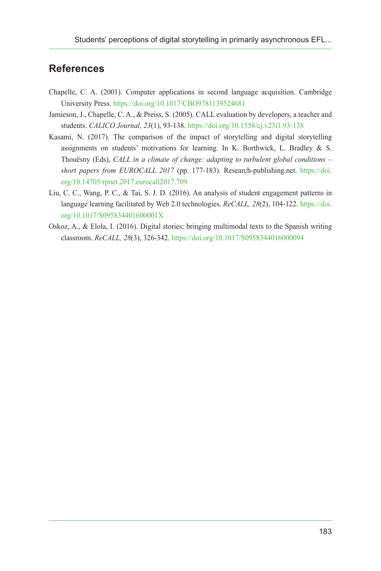# **References**

- <span id="page-6-3"></span>Chapelle, C. A. (2001). Computer applications in second language acquisition. Cambridge University Press.<https://doi.org/10.1017/CBO9781139524681>
- <span id="page-6-0"></span>Jamieson, J., Chapelle, C. A., & Preiss, S. (2005). CALL evaluation by developers, a teacher and students. *CALICO Journal, 23*(1), 93-138. <https://doi.org/10.1558/cj.v23i1.93-138>
- <span id="page-6-4"></span>Kasami, N. (2017). The comparison of the impact of storytelling and digital storytelling assignments on students' motivations for learning. In K. Borthwick, L. Bradley & S. Thouësny (Eds), *CALL in a climate of change: adapting to turbulent global conditions – short papers from EUROCALL 2017* (pp. 177-183). Research-publishing.net. [https://doi.](https://doi.org/10.14705/rpnet.2017.eurocall2017.709) [org/10.14705/rpnet.2017.eurocall2017.709](https://doi.org/10.14705/rpnet.2017.eurocall2017.709)
- <span id="page-6-1"></span>Liu, C. C., Wang, P. C., & Tai, S. J. D. (2016). An analysis of student engagement patterns in language learning facilitated by Web 2.0 technologies. *ReCALL, 28*(2), 104-122. [https://doi.](https://doi.org/10.1017/S095834401600001X) [org/10.1017/S095834401600001X](https://doi.org/10.1017/S095834401600001X)
- <span id="page-6-2"></span>Oskoz, A., & Elola, I. (2016). Digital stories: bringing multimodal texts to the Spanish writing classroom. *ReCALL, 28*(3), 326-342.<https://doi.org/10.1017/S0958344016000094>